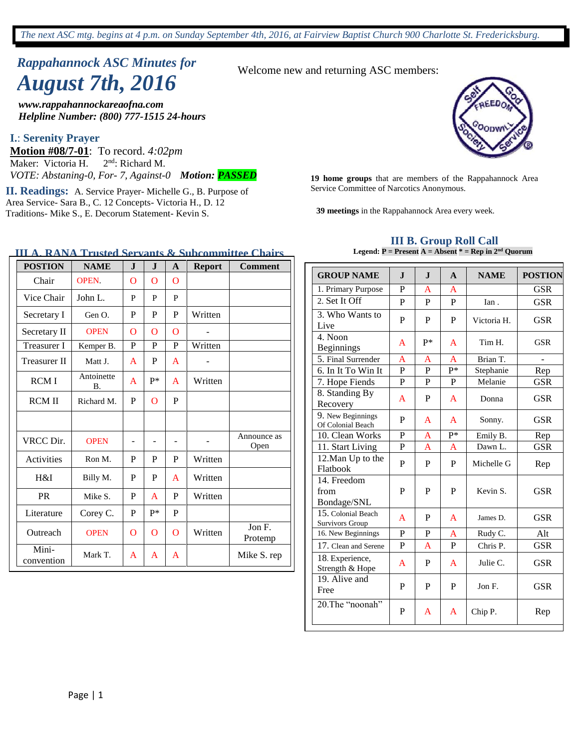# *Rappahannock ASC Minutes for August 7th, 2016*

*www.rappahannockareaofna.com Helpline Number: (800) 777-1515 24-hours*

#### **I.**: **Serenity Prayer**

**Motion #08/7-01**: To record. *4:02pm*  Maker: Victoria H. 2<sup>nd</sup>: Richard M. *VOTE: Abstaning-0, For- 7, Against-0 Motion: PASSED* **<sup>19</sup> home groups** that are members of the Rappahannock Area

Service Committee of Narcotics Anonymous. **II. Readings:** A. Service Prayer- Michelle G., B. Purpose of Area Service- Sara B., C. 12 Concepts- Victoria H., D. 12 Traditions- Mike S., E. Decorum Statement- Kevin S.

#### Welcome new and returning ASC members:



**39 meetings** in the Rappahannock Area every week.

#### **III B. Group Roll Call**

**Legend: P** = Present A = Absent \* = Rep in 2<sup>nd</sup> Quorum

| <b>POSTION</b>      | <b>NAME</b>             | $\mathbf J$    | $\mathbf{J}$ | $\mathbf{A}$ | <b>Report</b> | <b>Comment</b>      |
|---------------------|-------------------------|----------------|--------------|--------------|---------------|---------------------|
| Chair               | <b>OPEN</b>             | $\Omega$       | O            | O            |               |                     |
| Vice Chair          | John L.                 | P              | P            | P            |               |                     |
| Secretary I         | Gen O.                  | P              | P            | P            | Written       |                     |
| Secretary II        | <b>OPEN</b>             | $\Omega$       | $\Omega$     | O            |               |                     |
| Treasurer I         | Kemper B.               | P              | P            | P            | Written       |                     |
| Treasurer II        | Matt J.                 | A              | P            | A            |               |                     |
| <b>RCMI</b>         | Antoinette<br><b>B.</b> | A              | $P*$         | A            | Written       |                     |
| <b>RCMII</b>        | Richard M.              | P              | $\Omega$     | P            |               |                     |
|                     |                         |                |              |              |               |                     |
| VRCC Dir.           | <b>OPEN</b>             |                |              |              |               | Announce as<br>Open |
| Activities          | Ron M.                  | P              | P            | P            | Written       |                     |
| H&I                 | Billy M.                | P              | P            | A            | Written       |                     |
| <b>PR</b>           | Mike S.                 | P              | A            | P            | Written       |                     |
| Literature          | Corey C.                | P              | p*           | P            |               |                     |
| Outreach            | <b>OPEN</b>             | $\overline{O}$ | $\Omega$     | $\Omega$     | Written       | Jon F.<br>Protemp   |
| Mini-<br>convention | Mark T.                 | A              | A            | A            |               | Mike S. rep         |

| <b>GROUP NAME</b>                      | $\mathbf I$ | $\mathbf I$    | $\mathbf{A}$    | <b>NAME</b> | <b>POSTION</b> |
|----------------------------------------|-------------|----------------|-----------------|-------------|----------------|
| 1. Primary Purpose                     | P           | A              | A               |             | <b>GSR</b>     |
| 2. Set It Off                          | P           | P              | P               | $Ian$ .     | <b>GSR</b>     |
| 3. Who Wants to<br>Live                | P           | P              | P               | Victoria H. | <b>GSR</b>     |
| 4. Noon<br><b>Beginnings</b>           | A           | $P*$           | A               | Tim H.      | <b>GSR</b>     |
| 5. Final Surrender                     | A           | A              | A               | Brian T.    |                |
| 6. In It To Win It                     | P           | $\overline{P}$ | $\overline{P*}$ | Stephanie   | Rep            |
| 7. Hope Fiends                         | P           | P              | P               | Melanie     | GSR            |
| 8. Standing By<br>Recovery             | A           | P              | A               | Donna       | <b>GSR</b>     |
| 9. New Beginnings<br>Of Colonial Beach | P           | A              | A               | Sonny.      | GSR            |
| 10. Clean Works                        | P           | A              | $P*$            | Emily B.    | Rep            |
| 11. Start Living                       | P           | A              | A               | Dawn L.     | <b>GSR</b>     |
| 12. Man Up to the<br>Flatbook          | P           | P              | P               | Michelle G  | Rep            |
| 14. Freedom<br>from<br>Bondage/SNL     | P           | P              | P               | Kevin S.    | <b>GSR</b>     |
| 15. Colonial Beach<br>Survivors Group  | A           | P              | A               | James D.    | <b>GSR</b>     |
| 16. New Beginnings                     | P           | P              | A               | Rudy C.     | Alt            |
| 17. Clean and Serene                   | P           | A              | P               | Chris P.    | <b>GSR</b>     |
| 18. Experience,<br>Strength & Hope     | A           | P              | A               | Julie C.    | <b>GSR</b>     |
| 19. Alive and<br>Free                  | P           | P              | P               | Jon F.      | <b>GSR</b>     |
| 20. The "noonah"                       | P           | A              | A               | Chip P.     | Rep            |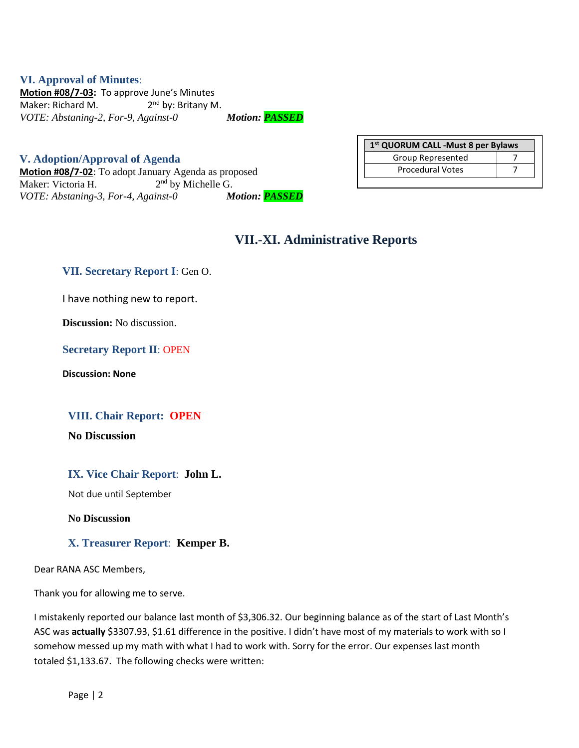### **VI. Approval of Minutes**: **Motion #08/7-03:** To approve June's Minutes Maker: Richard M.  $2<sup>nd</sup>$  by: Britany M. *VOTE: Abstaning-2, For-9, Against-0 Motion: PASSED*

**V. Adoption/Approval of Agenda Motion #08/7-02**: To adopt January Agenda as proposed Maker: Victoria H. 2  $2<sup>nd</sup>$  by Michelle G. *VOTE: Abstaning-3, For-4, Against-0 Motion: PASSED*

| 1 <sup>st</sup> QUORUM CALL -Must 8 per Bylaws |  |  |  |  |  |
|------------------------------------------------|--|--|--|--|--|
| Group Represented                              |  |  |  |  |  |
| <b>Procedural Votes</b>                        |  |  |  |  |  |

## **VII.-XI. Administrative Reports**

## **VII. Secretary Report I**: Gen O.

I have nothing new to report.

**Discussion:** No discussion.

#### **Secretary Report II**: OPEN

**Discussion: None**

## **VIII. Chair Report: OPEN**

**No Discussion**

#### **IX. Vice Chair Report**: **John L.**

Not due until September

**No Discussion**

#### **X. Treasurer Report**: **Kemper B.**

Dear RANA ASC Members,

Thank you for allowing me to serve.

I mistakenly reported our balance last month of \$3,306.32. Our beginning balance as of the start of Last Month's ASC was **actually** \$3307.93, \$1.61 difference in the positive. I didn't have most of my materials to work with so I somehow messed up my math with what I had to work with. Sorry for the error. Our expenses last month totaled \$1,133.67. The following checks were written: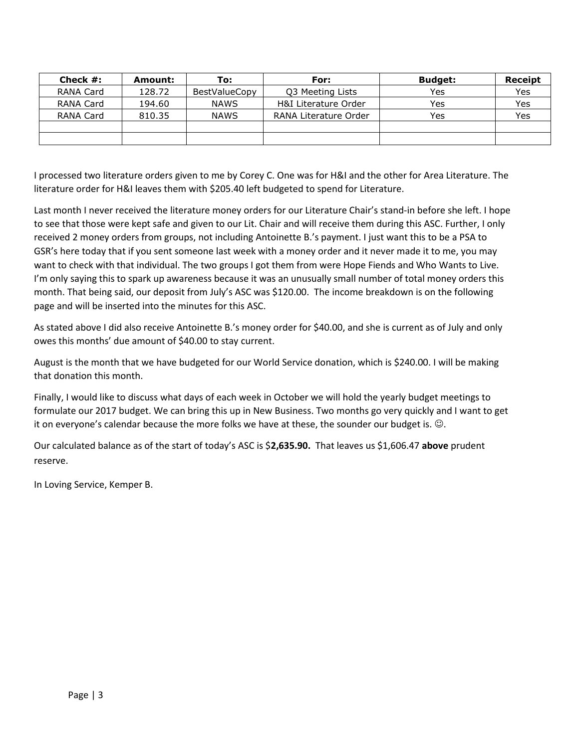| Check $#$ : | Amount: | To:                  | For:                  | <b>Budget:</b> | Receipt |
|-------------|---------|----------------------|-----------------------|----------------|---------|
| RANA Card   | 128.72  | <b>BestValueCopy</b> | Q3 Meeting Lists      | Yes            | Yes     |
| RANA Card   | 194.60  | <b>NAWS</b>          | H&I Literature Order  | Yes            | Yes     |
| RANA Card   | 810.35  | <b>NAWS</b>          | RANA Literature Order | Yes            | Yes     |
|             |         |                      |                       |                |         |
|             |         |                      |                       |                |         |

I processed two literature orders given to me by Corey C. One was for H&I and the other for Area Literature. The literature order for H&I leaves them with \$205.40 left budgeted to spend for Literature.

Last month I never received the literature money orders for our Literature Chair's stand-in before she left. I hope to see that those were kept safe and given to our Lit. Chair and will receive them during this ASC. Further, I only received 2 money orders from groups, not including Antoinette B.'s payment. I just want this to be a PSA to GSR's here today that if you sent someone last week with a money order and it never made it to me, you may want to check with that individual. The two groups I got them from were Hope Fiends and Who Wants to Live. I'm only saying this to spark up awareness because it was an unusually small number of total money orders this month. That being said, our deposit from July's ASC was \$120.00. The income breakdown is on the following page and will be inserted into the minutes for this ASC.

As stated above I did also receive Antoinette B.'s money order for \$40.00, and she is current as of July and only owes this months' due amount of \$40.00 to stay current.

August is the month that we have budgeted for our World Service donation, which is \$240.00. I will be making that donation this month.

Finally, I would like to discuss what days of each week in October we will hold the yearly budget meetings to formulate our 2017 budget. We can bring this up in New Business. Two months go very quickly and I want to get it on everyone's calendar because the more folks we have at these, the sounder our budget is.  $\mathbb{O}$ .

Our calculated balance as of the start of today's ASC is \$**2,635.90.** That leaves us \$1,606.47 **above** prudent reserve.

In Loving Service, Kemper B.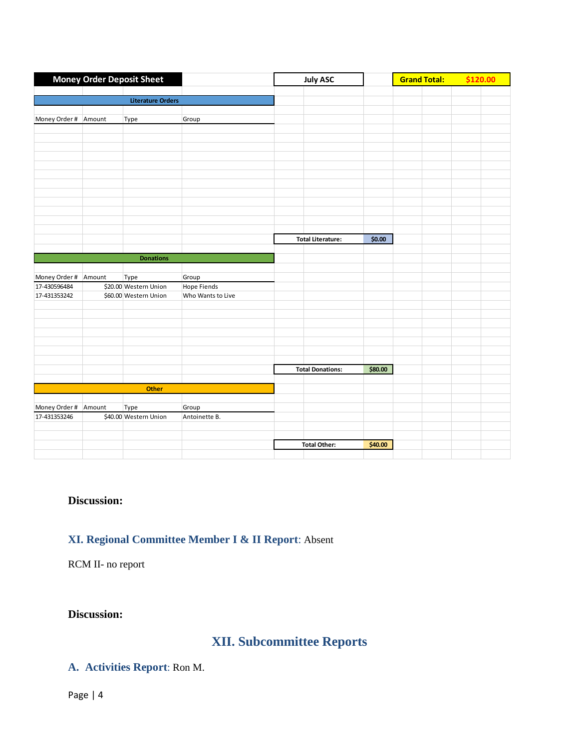|                      |        | Money Order Deposit Sheet |                    | <b>July ASC</b>          |         | <b>Grand Total:</b> | \$120.00 |
|----------------------|--------|---------------------------|--------------------|--------------------------|---------|---------------------|----------|
|                      |        |                           |                    |                          |         |                     |          |
|                      |        | <b>Literature Orders</b>  |                    |                          |         |                     |          |
|                      |        |                           |                    |                          |         |                     |          |
| Money Order # Amount |        | Type                      | Group              |                          |         |                     |          |
|                      |        |                           |                    |                          |         |                     |          |
|                      |        |                           |                    |                          |         |                     |          |
|                      |        |                           |                    |                          |         |                     |          |
|                      |        |                           |                    |                          |         |                     |          |
|                      |        |                           |                    |                          |         |                     |          |
|                      |        |                           |                    |                          |         |                     |          |
|                      |        |                           |                    |                          |         |                     |          |
|                      |        |                           |                    |                          |         |                     |          |
|                      |        |                           |                    |                          |         |                     |          |
|                      |        |                           |                    |                          |         |                     |          |
|                      |        |                           |                    |                          |         |                     |          |
|                      |        |                           |                    | <b>Total Literature:</b> | \$0.00  |                     |          |
|                      |        |                           |                    |                          |         |                     |          |
|                      |        | <b>Donations</b>          |                    |                          |         |                     |          |
|                      |        |                           |                    |                          |         |                     |          |
| Money Order #        | Amount | Type                      | Group              |                          |         |                     |          |
| 17-430596484         |        | \$20.00 Western Union     | <b>Hope Fiends</b> |                          |         |                     |          |
| 17-431353242         |        | \$60.00 Western Union     | Who Wants to Live  |                          |         |                     |          |
|                      |        |                           |                    |                          |         |                     |          |
|                      |        |                           |                    |                          |         |                     |          |
|                      |        |                           |                    |                          |         |                     |          |
|                      |        |                           |                    |                          |         |                     |          |
|                      |        |                           |                    |                          |         |                     |          |
|                      |        |                           |                    |                          |         |                     |          |
|                      |        |                           |                    |                          |         |                     |          |
|                      |        |                           |                    | <b>Total Donations:</b>  | \$80.00 |                     |          |
|                      |        | <b>Other</b>              |                    |                          |         |                     |          |
|                      |        |                           |                    |                          |         |                     |          |
| Money Order # Amount |        | Type                      | Group              |                          |         |                     |          |
| 17-431353246         |        | \$40.00 Western Union     | Antoinette B.      |                          |         |                     |          |
|                      |        |                           |                    |                          |         |                     |          |
|                      |        |                           |                    |                          |         |                     |          |
|                      |        |                           |                    | <b>Total Other:</b>      | \$40.00 |                     |          |
|                      |        |                           |                    |                          |         |                     |          |

## **Discussion:**

## **XI. Regional Committee Member I & II Report**: Absent

RCM II- no report

## **Discussion:**

# **XII. Subcommittee Reports**

## **A. Activities Report**: Ron M.

Page | 4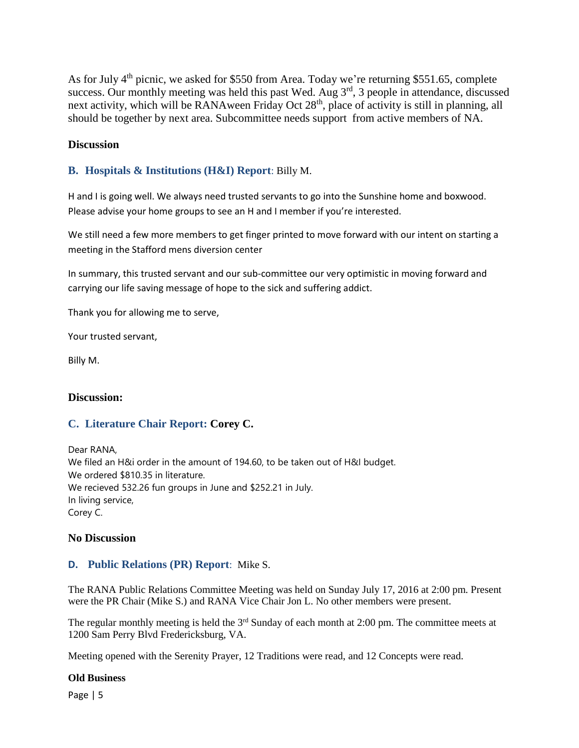As for July 4<sup>th</sup> picnic, we asked for \$550 from Area. Today we're returning \$551.65, complete success. Our monthly meeting was held this past Wed. Aug  $3<sup>rd</sup>$ , 3 people in attendance, discussed next activity, which will be RANAween Friday Oct 28<sup>th</sup>, place of activity is still in planning, all should be together by next area. Subcommittee needs support from active members of NA.

#### **Discussion**

#### **B. Hospitals & Institutions (H&I) Report**: Billy M.

H and I is going well. We always need trusted servants to go into the Sunshine home and boxwood. Please advise your home groups to see an H and I member if you're interested.

We still need a few more members to get finger printed to move forward with our intent on starting a meeting in the Stafford mens diversion center

In summary, this trusted servant and our sub-committee our very optimistic in moving forward and carrying our life saving message of hope to the sick and suffering addict.

Thank you for allowing me to serve,

Your trusted servant,

Billy M.

#### **Discussion:**

## **C. Literature Chair Report: Corey C.**

Dear RANA, We filed an H&i order in the amount of 194.60, to be taken out of H&I budget. We ordered \$810.35 in literature. We recieved 532.26 fun groups in June and \$252.21 in July. In living service, Corey C.

#### **No Discussion**

#### **D. Public Relations (PR) Report**: Mike S.

The RANA Public Relations Committee Meeting was held on Sunday July 17, 2016 at 2:00 pm. Present were the PR Chair (Mike S.) and RANA Vice Chair Jon L. No other members were present.

The regular monthly meeting is held the 3<sup>rd</sup> Sunday of each month at 2:00 pm. The committee meets at 1200 Sam Perry Blvd Fredericksburg, VA.

Meeting opened with the Serenity Prayer, 12 Traditions were read, and 12 Concepts were read.

#### **Old Business**

Page | 5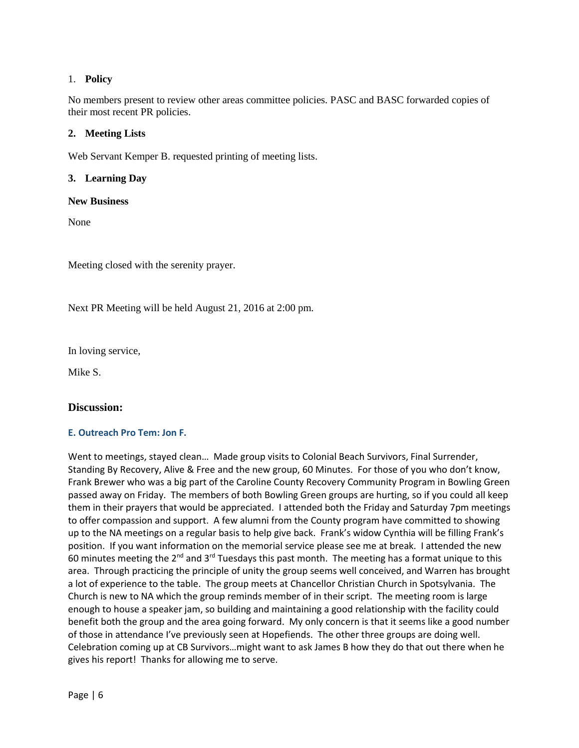## 1. **Policy**

No members present to review other areas committee policies. PASC and BASC forwarded copies of their most recent PR policies.

#### **2. Meeting Lists**

Web Servant Kemper B. requested printing of meeting lists.

#### **3. Learning Day**

#### **New Business**

None

Meeting closed with the serenity prayer.

Next PR Meeting will be held August 21, 2016 at 2:00 pm.

In loving service,

Mike S.

#### **Discussion:**

#### **E. Outreach Pro Tem: Jon F.**

Went to meetings, stayed clean… Made group visits to Colonial Beach Survivors, Final Surrender, Standing By Recovery, Alive & Free and the new group, 60 Minutes. For those of you who don't know, Frank Brewer who was a big part of the Caroline County Recovery Community Program in Bowling Green passed away on Friday. The members of both Bowling Green groups are hurting, so if you could all keep them in their prayers that would be appreciated. I attended both the Friday and Saturday 7pm meetings to offer compassion and support. A few alumni from the County program have committed to showing up to the NA meetings on a regular basis to help give back. Frank's widow Cynthia will be filling Frank's position. If you want information on the memorial service please see me at break. I attended the new 60 minutes meeting the 2<sup>nd</sup> and 3<sup>rd</sup> Tuesdays this past month. The meeting has a format unique to this area. Through practicing the principle of unity the group seems well conceived, and Warren has brought a lot of experience to the table. The group meets at Chancellor Christian Church in Spotsylvania. The Church is new to NA which the group reminds member of in their script. The meeting room is large enough to house a speaker jam, so building and maintaining a good relationship with the facility could benefit both the group and the area going forward. My only concern is that it seems like a good number of those in attendance I've previously seen at Hopefiends. The other three groups are doing well. Celebration coming up at CB Survivors…might want to ask James B how they do that out there when he gives his report! Thanks for allowing me to serve.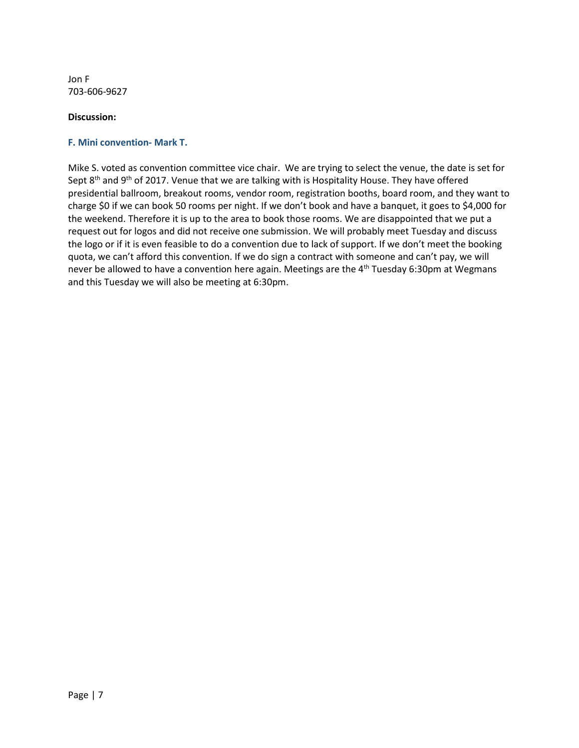Jon F 703-606-9627

#### **Discussion:**

#### **F. Mini convention- Mark T.**

Mike S. voted as convention committee vice chair. We are trying to select the venue, the date is set for Sept 8<sup>th</sup> and 9<sup>th</sup> of 2017. Venue that we are talking with is Hospitality House. They have offered presidential ballroom, breakout rooms, vendor room, registration booths, board room, and they want to charge \$0 if we can book 50 rooms per night. If we don't book and have a banquet, it goes to \$4,000 for the weekend. Therefore it is up to the area to book those rooms. We are disappointed that we put a request out for logos and did not receive one submission. We will probably meet Tuesday and discuss the logo or if it is even feasible to do a convention due to lack of support. If we don't meet the booking quota, we can't afford this convention. If we do sign a contract with someone and can't pay, we will never be allowed to have a convention here again. Meetings are the 4<sup>th</sup> Tuesday 6:30pm at Wegmans and this Tuesday we will also be meeting at 6:30pm.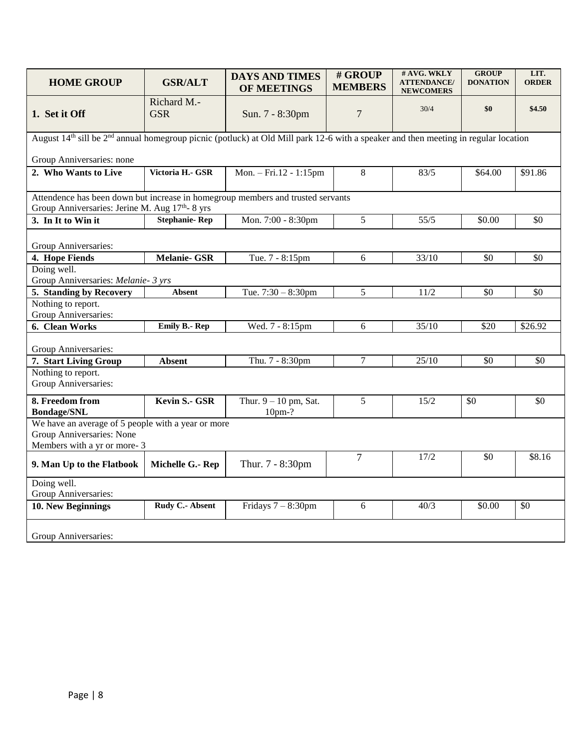| <b>HOME GROUP</b>                                                                                                                                           | <b>GSR/ALT</b>            | <b>DAYS AND TIMES</b><br>OF MEETINGS | # GROUP<br><b>MEMBERS</b> | # AVG. WKLY<br><b>ATTENDANCE/</b><br><b>NEWCOMERS</b> | <b>GROUP</b><br><b>DONATION</b> | LIT.<br><b>ORDER</b> |  |  |  |
|-------------------------------------------------------------------------------------------------------------------------------------------------------------|---------------------------|--------------------------------------|---------------------------|-------------------------------------------------------|---------------------------------|----------------------|--|--|--|
| 1. Set it Off                                                                                                                                               | Richard M.-<br><b>GSR</b> | Sun. 7 - 8:30pm                      | $\overline{7}$            | 30/4                                                  | \$0                             | \$4.50               |  |  |  |
| August 14 <sup>th</sup> sill be 2 <sup>nd</sup> annual homegroup picnic (potluck) at Old Mill park 12-6 with a speaker and then meeting in regular location |                           |                                      |                           |                                                       |                                 |                      |  |  |  |
| Group Anniversaries: none                                                                                                                                   |                           |                                      |                           |                                                       |                                 |                      |  |  |  |
| 2. Who Wants to Live                                                                                                                                        | Victoria H.- GSR          | Mon. - Fri.12 - 1:15pm               | $\overline{8}$            | 83/5                                                  | \$64.00                         | \$91.86              |  |  |  |
| Attendence has been down but increase in homegroup members and trusted servants<br>Group Anniversaries: Jerine M. Aug 17 <sup>th</sup> -8 yrs               |                           |                                      |                           |                                                       |                                 |                      |  |  |  |
| 3. In It to Win it                                                                                                                                          | <b>Stephanie-Rep</b>      | Mon. 7:00 - 8:30pm                   | 5                         | 55/5                                                  | \$0.00                          | \$0                  |  |  |  |
| Group Anniversaries:                                                                                                                                        |                           |                                      |                           |                                                       |                                 |                      |  |  |  |
| 4. Hope Fiends                                                                                                                                              | <b>Melanie- GSR</b>       | Tue. 7 - 8:15pm                      | 6                         | 33/10                                                 | \$0                             | \$0                  |  |  |  |
| Doing well.<br>Group Anniversaries: Melanie- 3 yrs                                                                                                          |                           |                                      |                           |                                                       |                                 |                      |  |  |  |
| 5. Standing by Recovery                                                                                                                                     | <b>Absent</b>             | Tue. $7:30 - 8:30$ pm                | 5                         | 11/2                                                  | \$0                             | \$0                  |  |  |  |
| Nothing to report.<br>Group Anniversaries:                                                                                                                  |                           |                                      |                           |                                                       |                                 |                      |  |  |  |
| 6. Clean Works                                                                                                                                              | <b>Emily B.- Rep</b>      | Wed. 7 - 8:15pm                      | 6                         | 35/10                                                 | \$20                            | \$26.92              |  |  |  |
| Group Anniversaries:                                                                                                                                        |                           |                                      |                           |                                                       |                                 |                      |  |  |  |
| 7. Start Living Group                                                                                                                                       | <b>Absent</b>             | Thu. 7 - 8:30pm                      | $\tau$                    | 25/10                                                 | \$0                             | \$0                  |  |  |  |
| Nothing to report.<br>Group Anniversaries:                                                                                                                  |                           |                                      |                           |                                                       |                                 |                      |  |  |  |
| 8. Freedom from<br><b>Bondage/SNL</b>                                                                                                                       | Kevin S.- GSR             | Thur. $9 - 10$ pm, Sat.<br>$10pm-?$  | 5                         | 15/2                                                  | \$0                             | \$0                  |  |  |  |
| We have an average of 5 people with a year or more<br>Group Anniversaries: None<br>Members with a yr or more-3                                              |                           |                                      |                           |                                                       |                                 |                      |  |  |  |
| 9. Man Up to the Flatbook                                                                                                                                   | Michelle G.- Rep          | Thur. 7 - 8:30pm                     | $\tau$                    | 17/2                                                  | \$0                             | \$8.16               |  |  |  |
| Doing well.<br>Group Anniversaries:                                                                                                                         |                           |                                      |                           |                                                       |                                 |                      |  |  |  |
| 10. New Beginnings                                                                                                                                          | Rudy C.- Absent           | Fridays $7 - 8:30$ pm                | 6                         | 40/3                                                  | \$0.00                          | \$0                  |  |  |  |
| Group Anniversaries:                                                                                                                                        |                           |                                      |                           |                                                       |                                 |                      |  |  |  |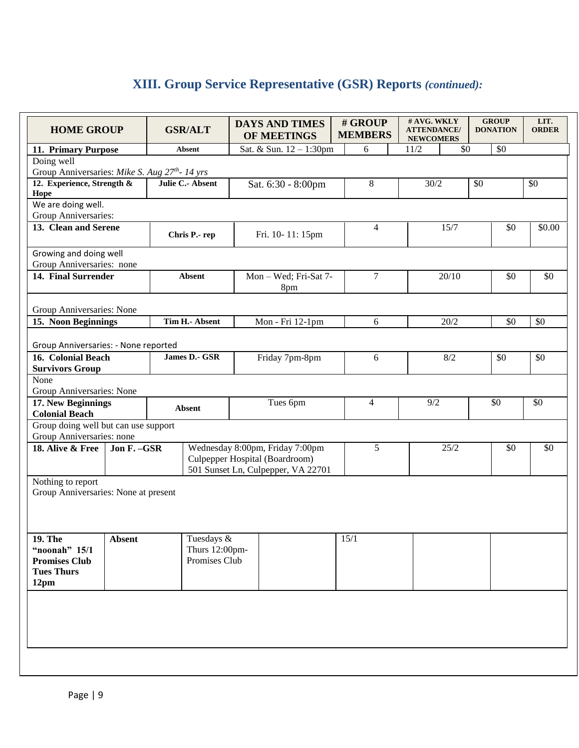# **XIII. Group Service Representative (GSR) Reports** *(continued):*

| <b>HOME GROUP</b>                                                                                          |              | <b>GSR/ALT</b>                                | <b>DAYS AND TIMES</b><br>OF MEETINGS                                                                    | # GROUP<br><b>MEMBERS</b> | # AVG. WKLY<br><b>ATTENDANCE/</b><br><b>NEWCOMERS</b> | <b>GROUP</b><br><b>DONATION</b> | LIT.<br><b>ORDER</b> |  |
|------------------------------------------------------------------------------------------------------------|--------------|-----------------------------------------------|---------------------------------------------------------------------------------------------------------|---------------------------|-------------------------------------------------------|---------------------------------|----------------------|--|
| 11. Primary Purpose                                                                                        |              | <b>Absent</b>                                 | Sat. & Sun. 12 - 1:30pm                                                                                 | 6                         | 11/2                                                  | \$0<br>\$0                      |                      |  |
| Doing well<br>Group Anniversaries: Mike S. Aug 27th- 14 yrs                                                |              |                                               |                                                                                                         |                           |                                                       |                                 |                      |  |
| 12. Experience, Strength &<br>Hope                                                                         |              | Julie C.- Absent                              | Sat. 6:30 - 8:00pm                                                                                      | 8                         | 30/2                                                  | \$0                             | \$0                  |  |
| We are doing well.<br>Group Anniversaries:                                                                 |              |                                               |                                                                                                         |                           |                                                       |                                 |                      |  |
| 13. Clean and Serene                                                                                       |              | Chris P.- rep                                 | Fri. 10-11: 15pm                                                                                        | $\overline{4}$            | 15/7                                                  | \$0                             | \$0.00               |  |
| Growing and doing well<br>Group Anniversaries: none                                                        |              |                                               |                                                                                                         |                           |                                                       |                                 |                      |  |
| 14. Final Surrender                                                                                        |              | <b>Absent</b>                                 | Mon - Wed; Fri-Sat 7-<br>8pm                                                                            | $\overline{7}$            | 20/10                                                 | \$0                             | \$0                  |  |
| Group Anniversaries: None<br>15. Noon Beginnings                                                           |              | Tim H.- Absent                                | Mon - Fri 12-1pm                                                                                        | 6                         | 20/2                                                  | \$0                             | \$0                  |  |
|                                                                                                            |              |                                               |                                                                                                         |                           |                                                       |                                 |                      |  |
| Group Anniversaries: - None reported<br>16. Colonial Beach<br><b>Survivors Group</b>                       |              | James D.- GSR                                 | Friday 7pm-8pm                                                                                          | 6                         | 8/2                                                   | \$0                             | \$0                  |  |
| None<br>Group Anniversaries: None                                                                          |              |                                               |                                                                                                         |                           |                                                       |                                 |                      |  |
| 17. New Beginnings<br><b>Colonial Beach</b>                                                                |              | <b>Absent</b>                                 | Tues 6pm                                                                                                | 4                         | 9/2                                                   | \$0                             | \$0                  |  |
| Group doing well but can use support<br>Group Anniversaries: none                                          |              |                                               |                                                                                                         |                           |                                                       |                                 |                      |  |
| 18. Alive & Free                                                                                           | Jon F. - GSR |                                               | Wednesday 8:00pm, Friday 7:00pm<br>Culpepper Hospital (Boardroom)<br>501 Sunset Ln, Culpepper, VA 22701 | 5                         | 25/2                                                  | \$0                             | \$0                  |  |
| Nothing to report<br>Group Anniversaries: None at present                                                  |              |                                               |                                                                                                         |                           |                                                       |                                 |                      |  |
| 19. The<br><b>Absent</b><br>"noonah" 15/1<br><b>Promises Club</b><br><b>Tues Thurs</b><br>12 <sub>pm</sub> |              | Tuesdays &<br>Thurs 12:00pm-<br>Promises Club |                                                                                                         | 15/1                      |                                                       |                                 |                      |  |
|                                                                                                            |              |                                               |                                                                                                         |                           |                                                       |                                 |                      |  |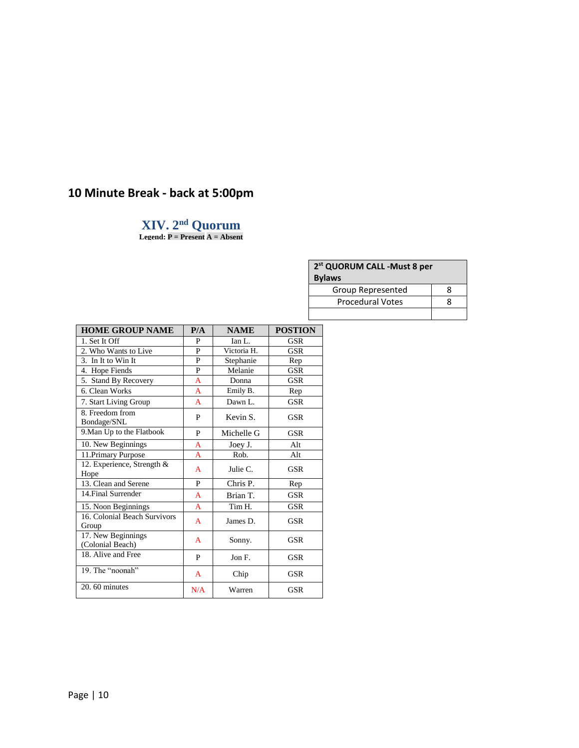# **10 Minute Break - back at 5:00pm**

## **XIV. 2 nd Quorum**

**Legend: P = Present A = Absent**

| 2 <sup>st</sup> QUORUM CALL -Must 8 per |  |  |  |  |  |  |
|-----------------------------------------|--|--|--|--|--|--|
| <b>Bylaws</b>                           |  |  |  |  |  |  |
| Group Represented                       |  |  |  |  |  |  |
| <b>Procedural Votes</b>                 |  |  |  |  |  |  |
|                                         |  |  |  |  |  |  |

| <b>HOME GROUP NAME</b>                 | P/A            | <b>NAME</b> | <b>POSTION</b> |
|----------------------------------------|----------------|-------------|----------------|
| 1. Set It Off                          | P              | Ian L.      | <b>GSR</b>     |
| 2. Who Wants to Live                   | P              | Victoria H. | <b>GSR</b>     |
| 3. In It to Win It                     | P              | Stephanie   | Rep            |
| 4. Hope Fiends                         | P              | Melanie     | <b>GSR</b>     |
| 5. Stand By Recovery                   | A              | Donna       | <b>GSR</b>     |
| 6. Clean Works                         | A              | Emily B.    | Rep            |
| 7. Start Living Group                  | A              | Dawn L.     | <b>GSR</b>     |
| 8. Freedom from<br>Bondage/SNL         | P              | Kevin S.    | <b>GSR</b>     |
| 9. Man Up to the Flatbook              | P              | Michelle G  | <b>GSR</b>     |
| 10. New Beginnings                     | A              | Joey J.     | Alt            |
| 11. Primary Purpose                    | $\overline{A}$ | Rob.        | Alt            |
| 12. Experience, Strength &<br>Hope     | A              | Julie C.    | <b>GSR</b>     |
| 13. Clean and Serene                   | P              | Chris P.    | Rep            |
| 14. Final Surrender                    | $\mathsf{A}$   | Brian T.    | <b>GSR</b>     |
| 15. Noon Beginnings                    | A              | Tim H.      | <b>GSR</b>     |
| 16. Colonial Beach Survivors<br>Group  | A              | James D.    | <b>GSR</b>     |
| 17. New Beginnings<br>(Colonial Beach) | A              | Sonny.      | <b>GSR</b>     |
| 18. Alive and Free                     | P              | Jon F.      | <b>GSR</b>     |
| 19. The "noonah"                       | A              | Chip        | <b>GSR</b>     |
| $20.60$ minutes                        | N/A            | Warren      | <b>GSR</b>     |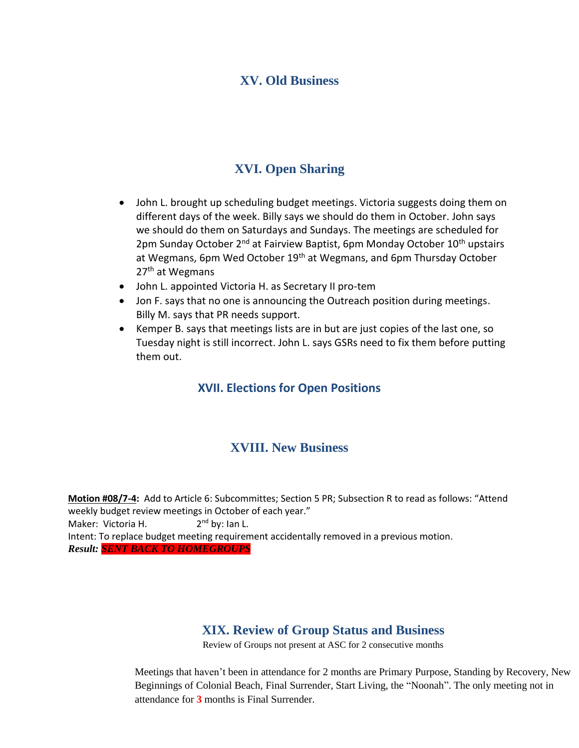## **XV. Old Business**

# **XVI. Open Sharing**

- John L. brought up scheduling budget meetings. Victoria suggests doing them on different days of the week. Billy says we should do them in October. John says we should do them on Saturdays and Sundays. The meetings are scheduled for 2pm Sunday October 2<sup>nd</sup> at Fairview Baptist, 6pm Monday October 10<sup>th</sup> upstairs at Wegmans, 6pm Wed October 19<sup>th</sup> at Wegmans, and 6pm Thursday October 27<sup>th</sup> at Wegmans
- John L. appointed Victoria H. as Secretary II pro-tem
- Jon F. says that no one is announcing the Outreach position during meetings. Billy M. says that PR needs support.
- Kemper B. says that meetings lists are in but are just copies of the last one, so Tuesday night is still incorrect. John L. says GSRs need to fix them before putting them out.

## **XVII. Elections for Open Positions**

## **XVIII. New Business**

**Motion #08/7-4:** Add to Article 6: Subcommittes; Section 5 PR; Subsection R to read as follows: "Attend weekly budget review meetings in October of each year." Maker: Victoria H. 2<sup>nd</sup> by: Ian L. Intent: To replace budget meeting requirement accidentally removed in a previous motion. *Result: SENT BACK TO HOMEGROUPS*

## **XIX. Review of Group Status and Business**

Review of Groups not present at ASC for 2 consecutive months

Meetings that haven't been in attendance for 2 months are Primary Purpose, Standing by Recovery, New Beginnings of Colonial Beach, Final Surrender, Start Living, the "Noonah". The only meeting not in attendance for **3** months is Final Surrender.